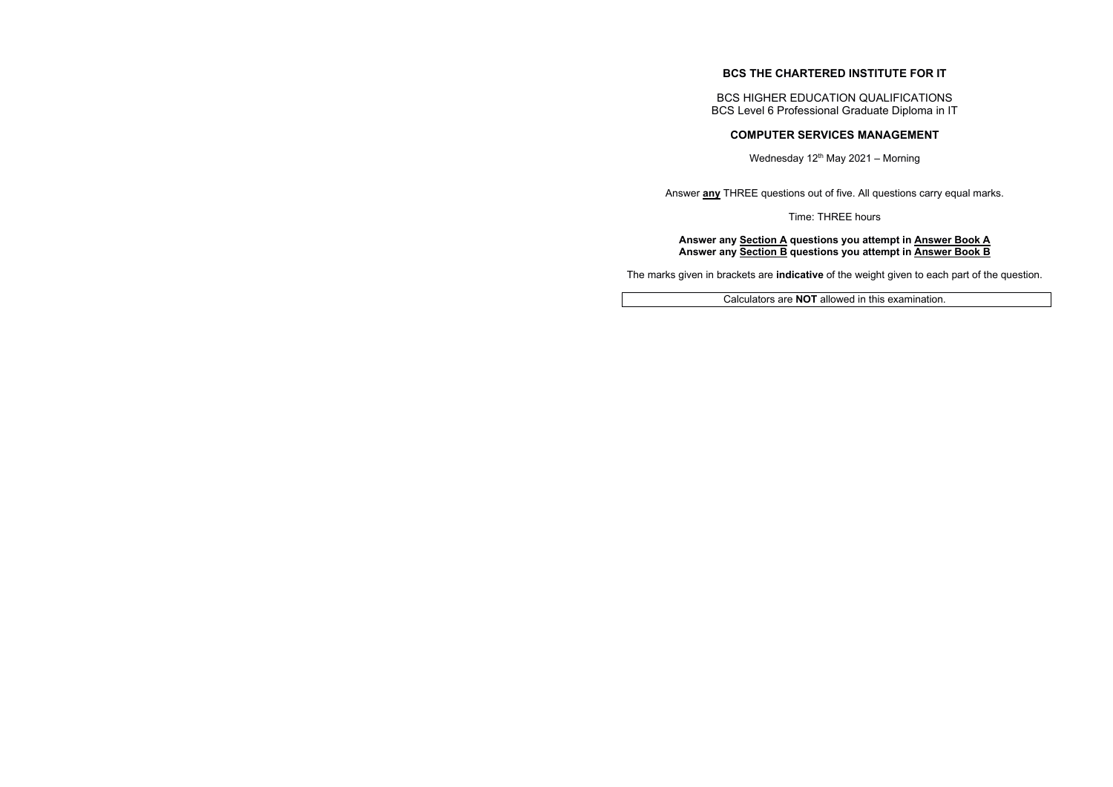# **BCS THE CHARTERED INSTITUTE FOR IT**

BCS HIGHER EDUCATION QUALIFICATIONS BCS Level 6 Professional Graduate Diploma in IT

# **COMPUTER SERVICES MANAGEMENT**

Wednesday  $12^{th}$  May 2021 – Morning

Answer **any** THREE questions out of five. All questions carry equal marks.

Time: THREE hours

**Answer any Section A questions you attempt in Answer Book A Answer any Section B questions you attempt in Answer Book B** 

The marks given in brackets are **indicative** of the weight given to each part of the question.

Calculators are **NOT** allowed in this examination.